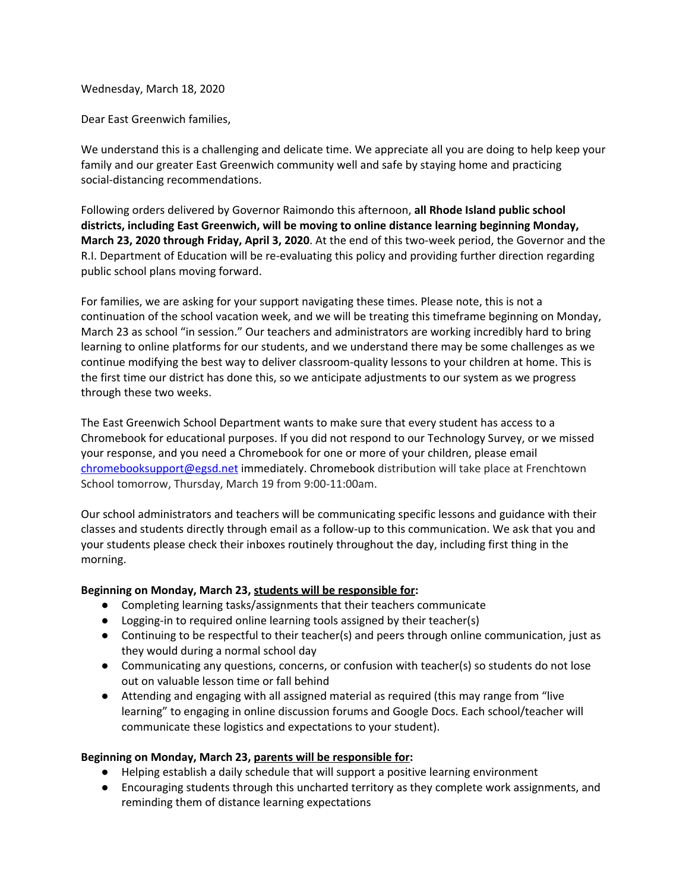Wednesday, March 18, 2020

Dear East Greenwich families,

We understand this is a challenging and delicate time. We appreciate all you are doing to help keep your family and our greater East Greenwich community well and safe by staying home and practicing social-distancing recommendations.

Following orders delivered by Governor Raimondo this afternoon, **all Rhode Island public school districts, including East Greenwich, will be moving to online distance learning beginning Monday, March 23, 2020 through Friday, April 3, 2020**. At the end of this two-week period, the Governor and the R.I. Department of Education will be re-evaluating this policy and providing further direction regarding public school plans moving forward.

For families, we are asking for your support navigating these times. Please note, this is not a continuation of the school vacation week, and we will be treating this timeframe beginning on Monday, March 23 as school "in session." Our teachers and administrators are working incredibly hard to bring learning to online platforms for our students, and we understand there may be some challenges as we continue modifying the best way to deliver classroom-quality lessons to your children at home. This is the first time our district has done this, so we anticipate adjustments to our system as we progress through these two weeks.

The East Greenwich School Department wants to make sure that every student has access to a Chromebook for educational purposes. If you did not respond to our Technology Survey, or we missed your response, and you need a Chromebook for one or more of your children, please email [chromebooksupport@egsd.net](mailto:chromebooksupport@egsd.net) immediately. Chromebook distribution will take place at Frenchtown School tomorrow, Thursday, March 19 from 9:00-11:00am.

Our school administrators and teachers will be communicating specific lessons and guidance with their classes and students directly through email as a follow-up to this communication. We ask that you and your students please check their inboxes routinely throughout the day, including first thing in the morning.

## **Beginning on Monday, March 23, students will be responsible for:**

- Completing learning tasks/assignments that their teachers communicate
- Logging-in to required online learning tools assigned by their teacher(s)
- Continuing to be respectful to their teacher(s) and peers through online communication, just as they would during a normal school day
- Communicating any questions, concerns, or confusion with teacher(s) so students do not lose out on valuable lesson time or fall behind
- Attending and engaging with all assigned material as required (this may range from "live learning" to engaging in online discussion forums and Google Docs. Each school/teacher will communicate these logistics and expectations to your student).

## **Beginning on Monday, March 23, parents will be responsible for:**

- Helping establish a daily schedule that will support a positive learning environment
- Encouraging students through this uncharted territory as they complete work assignments, and reminding them of distance learning expectations